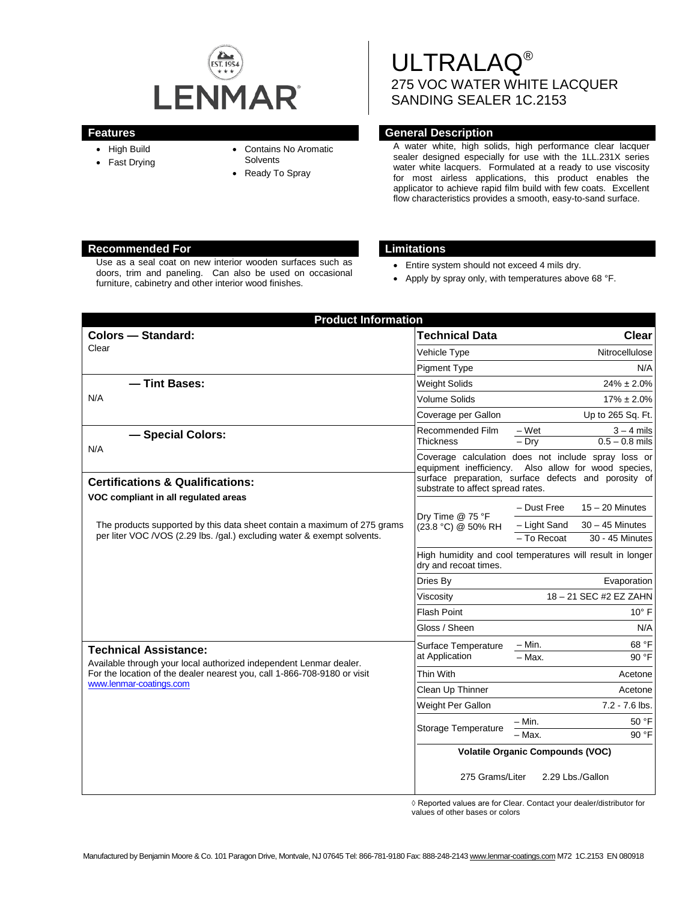

- High Build
- Fast Drying
- Contains No Aromatic
- **Solvents**
- Ready To Spray

# ULTRALAQ® 275 VOC WATER WHITE LACQUER SANDING SEALER 1C.2153

# **Features General Description**

A water white, high solids, high performance clear lacquer sealer designed especially for use with the 1LL.231X series water white lacquers. Formulated at a ready to use viscosity for most airless applications, this product enables the applicator to achieve rapid film build with few coats. Excellent flow characteristics provides a smooth, easy-to-sand surface.

# **Recommended For Limitations**

Use as a seal coat on new interior wooden surfaces such as doors, trim and paneling. Can also be used on occasional furniture, cabinetry and other interior wood finishes.

- Entire system should not exceed 4 mils dry.
- Apply by spray only, with temperatures above 68 °F.

| <b>Product Information</b>                                                                                                                                                                                |                                                                                    |                                                                                                                                                                     |
|-----------------------------------------------------------------------------------------------------------------------------------------------------------------------------------------------------------|------------------------------------------------------------------------------------|---------------------------------------------------------------------------------------------------------------------------------------------------------------------|
| <b>Colors - Standard:</b>                                                                                                                                                                                 | <b>Technical Data</b>                                                              | <b>Clear</b>                                                                                                                                                        |
| Clear                                                                                                                                                                                                     | Vehicle Type                                                                       | Nitrocellulose                                                                                                                                                      |
|                                                                                                                                                                                                           | <b>Pigment Type</b>                                                                | N/A                                                                                                                                                                 |
| -Tint Bases:                                                                                                                                                                                              | <b>Weight Solids</b>                                                               | $24\% \pm 2.0\%$                                                                                                                                                    |
| N/A                                                                                                                                                                                                       | Volume Solids                                                                      | $17\% \pm 2.0\%$                                                                                                                                                    |
|                                                                                                                                                                                                           | Coverage per Gallon                                                                | Up to 265 Sq. Ft.                                                                                                                                                   |
| - Special Colors:<br>N/A                                                                                                                                                                                  | Recommended Film<br><b>Thickness</b>                                               | $-Wet$<br>$3 - 4$ mils<br>$0.5 - 0.8$ mils<br>$-$ Dry                                                                                                               |
| <b>Certifications &amp; Qualifications:</b>                                                                                                                                                               | substrate to affect spread rates.                                                  | Coverage calculation does not include spray loss or<br>equipment inefficiency. Also allow for wood species,<br>surface preparation, surface defects and porosity of |
| VOC compliant in all regulated areas<br>The products supported by this data sheet contain a maximum of 275 grams<br>per liter VOC /VOS (2.29 lbs. /gal.) excluding water & exempt solvents.               | Dry Time @ 75 °F<br>(23.8 °C) @ 50% RH                                             | $15 - 20$ Minutes<br>- Dust Free<br>$30 - 45$ Minutes<br>- Light Sand<br>30 - 45 Minutes<br>- To Recoat                                                             |
|                                                                                                                                                                                                           | High humidity and cool temperatures will result in longer<br>dry and recoat times. |                                                                                                                                                                     |
|                                                                                                                                                                                                           | Dries By                                                                           | Evaporation                                                                                                                                                         |
|                                                                                                                                                                                                           | Viscosity                                                                          | 18-21 SEC #2 EZ ZAHN                                                                                                                                                |
|                                                                                                                                                                                                           | <b>Flash Point</b>                                                                 | $10^{\circ}$ F                                                                                                                                                      |
|                                                                                                                                                                                                           | Gloss / Sheen                                                                      | N/A                                                                                                                                                                 |
| <b>Technical Assistance:</b><br>Available through your local authorized independent Lenmar dealer.<br>For the location of the dealer nearest you, call 1-866-708-9180 or visit<br>www.lenmar-coatings.com | Surface Temperature<br>at Application                                              | 68 °F<br>– Min.<br>$-$ Max.<br>90 °F                                                                                                                                |
|                                                                                                                                                                                                           | Thin With                                                                          | Acetone                                                                                                                                                             |
|                                                                                                                                                                                                           | Clean Up Thinner                                                                   | Acetone                                                                                                                                                             |
|                                                                                                                                                                                                           | Weight Per Gallon                                                                  | $7.2 - 7.6$ lbs.                                                                                                                                                    |
|                                                                                                                                                                                                           | Storage Temperature                                                                | 50 °F<br>– Min.<br>- Max.<br>90 °F                                                                                                                                  |
|                                                                                                                                                                                                           | <b>Volatile Organic Compounds (VOC)</b>                                            |                                                                                                                                                                     |
|                                                                                                                                                                                                           | 275 Grams/Liter                                                                    | 2.29 Lbs./Gallon                                                                                                                                                    |

◊ Reported values are for Clear. Contact your dealer/distributor for values of other bases or colors